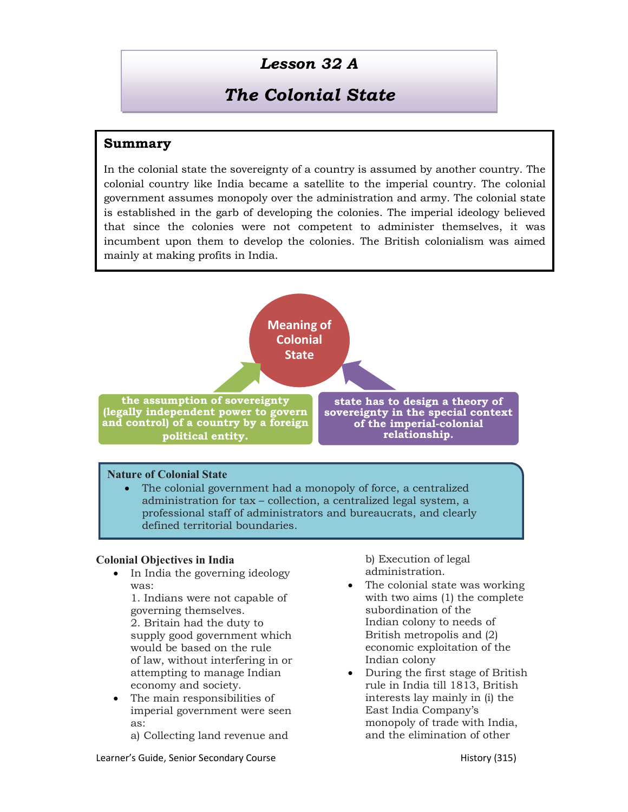## Lesson 32 A

# The Colonial State

### Summary

In the colonial state the sovereignty of a country is assumed by another country. The colonial country like India became a satellite to the imperial country. The colonial government assumes monopoly over the administration and army. The colonial state is established in the garb of developing the colonies. The imperial ideology believed that since the colonies were not competent to administer themselves, it was incumbent upon them to develop the colonies. The British colonialism was aimed mainly at making profits in India.



 The colonial government had a monopoly of force, a centralized administration for tax – collection, a centralized legal system, a professional staff of administrators and bureaucrats, and clearly defined territorial boundaries.

#### Colonial Objectives in India

 In India the governing ideology was:

1. Indians were not capable of governing themselves.

2. Britain had the duty to supply good government which would be based on the rule of law, without interfering in or attempting to manage Indian economy and society.

• The main responsibilities of imperial government were seen as:

a) Collecting land revenue and

b) Execution of legal administration.

- The colonial state was working with two aims (1) the complete subordination of the Indian colony to needs of British metropolis and (2) economic exploitation of the Indian colony
- During the first stage of British rule in India till 1813, British interests lay mainly in (i) the East India Company's monopoly of trade with India, and the elimination of other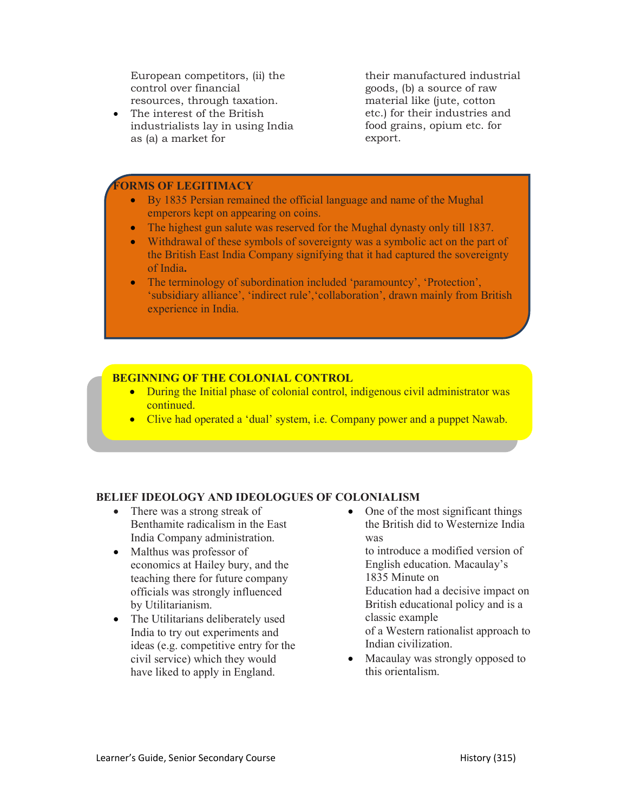European competitors, (ii) the control over financial resources, through taxation.

 The interest of the British industrialists lay in using India as (a) a market for

their manufactured industrial goods, (b) a source of raw material like (jute, cotton etc.) for their industries and food grains, opium etc. for export.

#### **ORMS OF LEGITIMACY**

- By 1835 Persian remained the official language and name of the Mughal emperors kept on appearing on coins.
- The highest gun salute was reserved for the Mughal dynasty only till 1837.
- Withdrawal of these symbols of sovereignty was a symbolic act on the part of the British East India Company signifying that it had captured the sovereignty of India.
- The terminology of subordination included 'paramountcy', 'Protection', 'subsidiary alliance', 'indirect rule','collaboration', drawn mainly from British experience in India.

#### BEGINNING OF THE COLONIAL CONTROL

- During the Initial phase of colonial control, indigenous civil administrator was continued.
- Clive had operated a 'dual' system, i.e. Company power and a puppet Nawab.

#### BELIEF IDEOLOGY AND IDEOLOGUES OF COLONIALISM

- There was a strong streak of Benthamite radicalism in the East India Company administration.
- Malthus was professor of economics at Hailey bury, and the teaching there for future company officials was strongly influenced by Utilitarianism.
- The Utilitarians deliberately used India to try out experiments and ideas (e.g. competitive entry for the civil service) which they would have liked to apply in England.

 One of the most significant things the British did to Westernize India was

to introduce a modified version of English education. Macaulay's 1835 Minute on Education had a decisive impact on British educational policy and is a classic example of a Western rationalist approach to Indian civilization.

• Macaulay was strongly opposed to this orientalism.